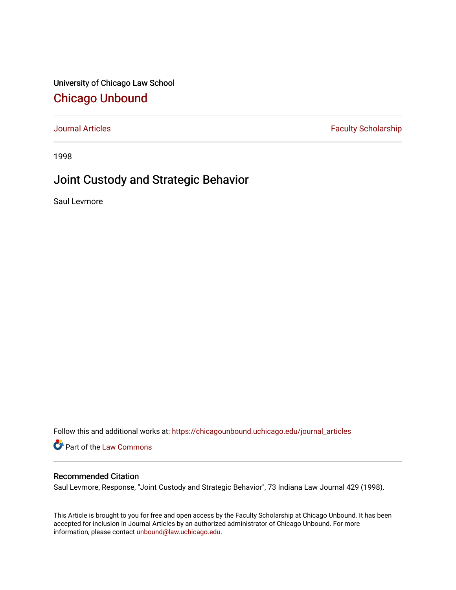University of Chicago Law School [Chicago Unbound](https://chicagounbound.uchicago.edu/)

[Journal Articles](https://chicagounbound.uchicago.edu/journal_articles) **Faculty Scholarship Faculty Scholarship** 

1998

# Joint Custody and Strategic Behavior

Saul Levmore

Follow this and additional works at: [https://chicagounbound.uchicago.edu/journal\\_articles](https://chicagounbound.uchicago.edu/journal_articles?utm_source=chicagounbound.uchicago.edu%2Fjournal_articles%2F1584&utm_medium=PDF&utm_campaign=PDFCoverPages) 

Part of the [Law Commons](http://network.bepress.com/hgg/discipline/578?utm_source=chicagounbound.uchicago.edu%2Fjournal_articles%2F1584&utm_medium=PDF&utm_campaign=PDFCoverPages)

# Recommended Citation

Saul Levmore, Response, "Joint Custody and Strategic Behavior", 73 Indiana Law Journal 429 (1998).

This Article is brought to you for free and open access by the Faculty Scholarship at Chicago Unbound. It has been accepted for inclusion in Journal Articles by an authorized administrator of Chicago Unbound. For more information, please contact [unbound@law.uchicago.edu](mailto:unbound@law.uchicago.edu).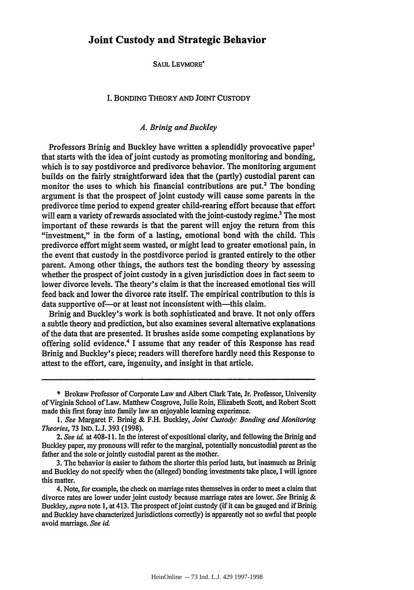#### SAUL LEVMORE<sup>\*</sup>

#### I. BONDING THEORY **AND** JOINT CUSTODY

# *A.* Brinig and *Buckley*

Professors Brinig and Buckley have written a splendidly provocative paper' that starts with the idea of joint custody as promoting monitoring and bonding, which is to say postdivorce and predivorce behavior. The monitoring argument builds on the fairly straightforward idea that the (partly) custodial parent can monitor the uses to which his financial contributions are put.2 The bonding argument is that the prospect of joint custody will cause some parents in the predivorce time period to expend greater child-rearing effort because that effort will earn a variety of rewards associated with the joint-custody regime.<sup>3</sup> The most important of these rewards is that the parent will enjoy the return from this "investment," in the form of a lasting, emotional bond with the child. This predivorce effort might seem wasted, or might lead to greater emotional pain, in the event that custody in the postdivorce period is granted entirely to the other parent. Among other things, the authors test the bonding theory **by** assessing whether the prospect of joint custody in a given jurisdiction does in fact seem to lower divorce levels. The theory's claim is that the increased emotional ties will feed back and lower the divorce rate itself. The empirical contribution to this is data supportive of—or at least not inconsistent with—this claim.

Brinig and Buckley's work is both sophisticated and brave. It not only offers a subtle theory and prediction, but also examines several alternative explanations of the data that are presented. It brushes aside some competing explanations by offering solid evidence.4 I assume that any reader of this Response has read Brinig and Buckley's piece; readers will therefore hardly need this Response to attest to the effort, care, ingenuity, and insight in that article.

<sup>\*</sup> Brokaw Professor of Corporate Law and Albert Clark Tate, Jr. Professor, University of Virginia School of Law. Matthew Cosgrove, Julie Roin, Elizabeth Scott, and Robert Scott made this first foray into family law an enjoyable learning experience.

*<sup>1.</sup> See* Margaret F. Brinig & F.H. Buckley, *Joint Custody: Bonding and Monitoring Theories,* 73 IND. L.J. 393 (1998).

*<sup>2.</sup> See id.* at 408-11. In the interest of expositional clarity, and following the Brinig and Buckley paper, my pronouns will refer to the marginal, potentially noncustodial parent as the father and the sole or jointly custodial parent as the mother.

<sup>3.</sup> The behavior is easier to fathom the shorter this period lasts, but inasmuch as Brinig and Buckley do not specify when the (alleged) bonding investments take place, I will ignore this matter.

<sup>4.</sup> Note, for example, the check on marriage rates themselves in order to meet a claim that divorce rates are lower under joint custody because marriage rates are lower. *See* Brinig & Buckley, *supra* note 1, at 413. The prospect of joint custody (if it can be gauged and if Brinig and Buckley have characterized jurisdictions correctly) is apparently not so awful that people avoid marriage. *See id.*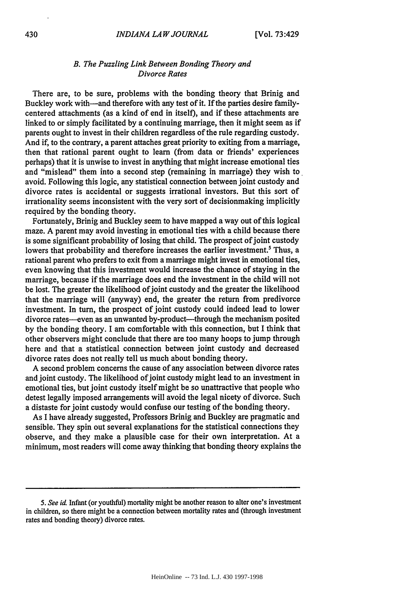## *B. The Puzzling Link Between Bonding Theory and Divorce Rates*

There are, to be sure, problems with the bonding theory that Brinig and Buckley work with-and therefore with any test of it. If the parties desire familycentered attachments (as a kind of end in itself), and if these attachments are linked to or simply facilitated **by** a continuing marriage, then it might seem as if parents ought to invest in their children regardless of the rule regarding custody. And if, to the contrary, a parent attaches great priority to exiting from a marriage, then that rational parent ought to learn (from data or friends' experiences perhaps) that it is unwise to invest in anything that might increase emotional ties and "mislead" them into a second step (remaining in marriage) they wish to avoid. Following this logic, any statistical connection between joint custody and divorce rates is accidental or suggests irrational investors. But this sort of irrationality seems inconsistent with the very sort of decisionmaking implicitly required **by** the bonding theory.

Fortunately, Brinig and Buckley seem to have mapped a way out of this logical maze. **A** parent may avoid investing in emotional ties with a child because there is some significant probability of losing that child. The prospect of joint custody lowers that probability and therefore increases the earlier investment.<sup>5</sup> Thus, a rational parent who prefers to exit from a marriage might invest in emotional ties, even knowing that this investment would increase the chance of staying in the marriage, because if the marriage does end the investment in the child will not be lost. The greater the likelihood ofjoint custody and the greater the likelihood that the marriage will (anyway) end, the greater the return from predivorce investment. In turn, the prospect of joint custody could indeed lead to lower divorce rates--even as an unwanted by-product-through the mechanism posited **by** the bonding theory. I am comfortable with this connection, but I think that other observers might conclude that there are too many hoops to jump through here and that a statistical connection between joint custody and decreased divorce rates does not really tell us much about bonding theory.

**A** second problem concerns the cause of any association between divorce rates and joint custody. The likelihood of joint custody might lead to an investment in emotional ties, but joint custody itself might be so unattractive that people who detest legally imposed arrangements will avoid the legal nicety of divorce. Such a distaste for joint custody would confuse our testing of the bonding theory.

As I have already suggested, Professors Brinig and Buckley are pragmatic and sensible. They spin out several explanations for the statistical connections they observe, and they make a plausible case for their own interpretation. At a minimum, most readers will come away thinking that bonding theory explains the

*<sup>5.</sup> See id* Infant (or youthful) mortality might be another reason to alter one's investment in children, so there might be a connection between mortality rates and (through investment rates and bonding theory) divorce rates.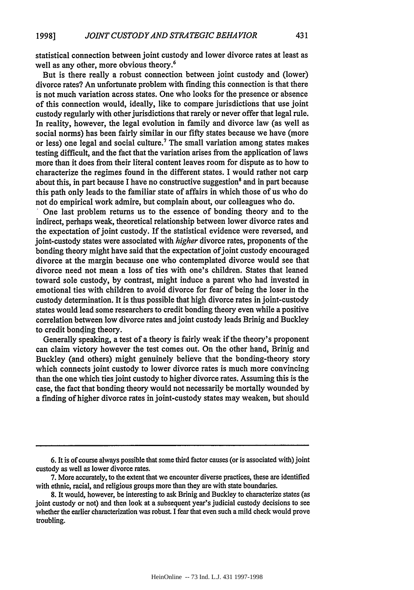statistical connection between joint custody and lower divorce rates at least as well as any other, more obvious theory.<sup>6</sup>

But is there really a robust connection between joint custody and (lower) divorce rates? An unfortunate problem with finding this connection is that there is not much variation across states. One who looks for the presence or absence of this connection would, ideally, like to compare jurisdictions that use joint custody regularly with other jurisdictions that rarely or never offer that legal rule. In reality, however, the legal evolution in family and divorce law (as **well** as social norms) has been fairly similar in our fifty states because we have (more or less) one legal and social culture.<sup>7</sup> The small variation among states makes testing difficult, and the fact that the variation arises from the application of laws more than it does from their literal content leaves room for dispute as to how to characterize the regimes found in the different states. I would rather not carp about this, in part because I have no constructive suggestion<sup>8</sup> and in part because this path only leads to the familiar state of affairs in which those of us who do not do empirical work admire, but complain about, our colleagues who do.<br>  $\therefore$  One last problem returns us to the essence of bonding theory and to the

indirect, perhaps weak, theoretical relationship between lower divorce rates and the expectation of joint custody. If the statistical evidence were reversed, and joint-custody states were associated with *higher* divorce rates, proponents of the bonding theory might have said that the expectation of joint custody encouraged divorce at the margin because one who contemplated divorce would see that divorce need not mean a loss of ties with one's children. States that leaned toward sole custody, **by** contrast, might induce a parent who had invested in emotional ties with children to avoid divorce for fear of being the loser in the custody determination. It is thus possible that high divorce rates in joint-custody states would lead some researchers to credit bonding theory even while a positive correlation between low divorce rates and joint custody leads Brinig and Buckley to credit bonding theory.

Generally speaking, a test of a theory is fairly weak if the theory's proponent can claim victory however the test comes out. On the other hand, Brinig and Buckley (and others) might genuinely believe that the bonding-theory story which connects joint custody to lower divorce rates is much more convincing than the one which ties joint custody to higher divorce rates. Assuming this is the case, the fact that bonding theory would not necessarily be mortally wounded **by** a finding of higher divorce rates in joint-custody states may weaken, but should

**<sup>6.</sup>** It is of course always possible that some third factor causes (or is associated with) joint custody as well as lower divorce rates.

**<sup>7.</sup>** More accurately, to the extent that we encounter diverse practices, these are identified with ethnic, racial, and religious groups more than they are with state boundaries.

**<sup>8.</sup>** It would, however, be interesting to ask Brinig and Buckley to characterize states (as joint custody or not) and then look at a subsequent year's judicial custody decisions to see whether the earlier characterization was robust. **I** fear that even such a mild check would prove troubling.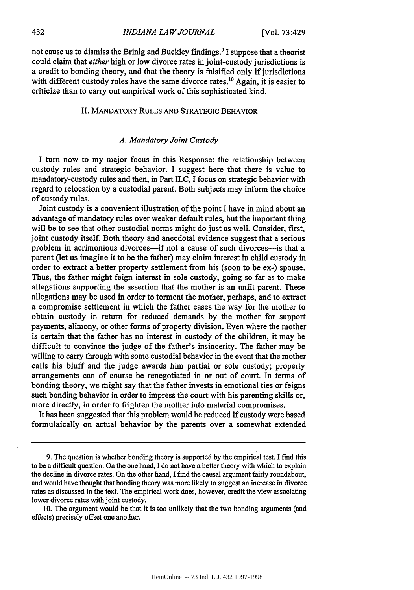not cause us to dismiss the Brinig and Buckley findings.9 **I** suppose that a theorist could claim that *either* high or low divorce rates in joint-custody jurisdictions is a credit to bonding theory, and that the theory is falsified only if jurisdictions with different custody rules have the same divorce rates.<sup>10</sup> Again, it is easier to criticize than to carry out empirical work of this sophisticated kind.

# II. MANDATORY **RULES** AND STRATEGIC BEHAVIOR

## *A. Mandatory Joint Custody*

I turn now to my major focus in this Response: the relationship between custody rules and strategic behavior. I suggest here that there is value to mandatory-custody rules and then, in Part II.C, I focus on strategic behavior with regard to relocation by a custodial parent. Both subjects may inform the choice of custody rules.

Joint custody is a convenient illustration of the point I have in mind about an advantage of mandatory rules over weaker default rules, but the important thing will be to see that other custodial norms might do just as well. Consider, first, joint custody itself. Both theory and anecdotal evidence suggest that a serious problem in acrimonious divorces-if not a cause of such divorces-is that a parent (let us imagine it to be the father) may claim interest in child custody in order to extract a better property settlement from his (soon to be ex-) spouse. Thus, the father might feign interest in sole custody, going so far as to make allegations supporting the assertion that the mother is an unfit parent. These allegations may be used in order to torment the mother, perhaps, and to extract a compromise settlement in which the father eases the way for the mother to obtain custody in return for reduced demands by the mother for support payments, alimony, or other forms of property division. Even where the mother is certain that the father has no interest in custody of the children, it may be difficult to convince the judge of the father's insincerity. The father may be willing to carry through with some custodial behavior in the event that the mother calls his bluff and the judge awards him partial or sole custody; property arrangements can of course be renegotiated in or out of court. In terms of bonding theory, we might say that the father invests in emotional ties or feigns such bonding behavior in order to impress the court with his parenting skills or, more directly, in order to frighten the mother into material compromises.

It has been suggested that this problem would be reduced if custody were based formulaically on actual behavior by the parents over a somewhat extended

**10.** The argument would be that it is too unlikely that the two bonding arguments (and effects) precisely offset one another.

<sup>9.</sup> The question is whether bonding theory is supported by the empirical test. I find this to be a difficult question. On the one hand, I do not have a better theory with which to explain the decline in divorce rates. On the other hand, I find the causal argument fairly roundabout, and would have thought that bonding theory was more likely to suggest an increase in divorce rates as discussed in the text. The empirical work does, however, credit the view associating lower divorce rates with joint custody.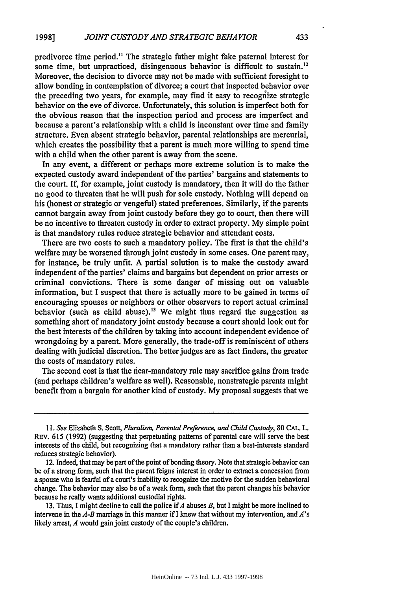predivorce time period.<sup>11</sup> The strategic father might fake paternal interest for some time, but unpracticed, disingenuous behavior is difficult to sustain.<sup>12</sup> Moreover, the decision to divorce may not be made with sufficient foresight to allow bonding in contemplation of divorce; a court that inspected behavior over the preceding two years, for example, may find it easy to recognize strategic behavior on the eve of divorce. Unfortunately, this solution is imperfect both for the obvious reason that the inspection period and process are imperfect and because a parent's relationship with a child is inconstant over time and family structure. Even absent strategic behavior, parental relationships are mercurial, which creates the possibility that a parent is much more willing to spend time with a child when the other parent is away from the scene.

In any event, a different or perhaps more extreme solution is to make the expected custody award independent of the parties' bargains and statements to the court. If, for example, joint custody is mandatory, then it will do the father no good to threaten that he will push for sole custody. Nothing will depend on his (honest or strategic or vengeful) stated preferences. Similarly, if the parents cannot bargain away from joint custody before they go to court, then there will be no incentive to threaten custody in order to extract property. My simple point is that mandatory rules reduce strategic behavior and attendant costs.

There are two costs to such a mandatory policy. The first is that the child's welfare may be worsened through joint custody in some cases. One parent may, for instance, be truly unfit. A partial solution is to make the custody award independent of the parties' claims and bargains but dependent on prior arrests or criminal convictions. There is some danger of missing out on valuable information, but I suspect that there is actually more to be gained in terms of encouraging spouses or neighbors or other observers to report actual criminal behavior (such as child abuse).<sup>13</sup> We might thus regard the suggestion as something short of mandatory joint custody because a court should look out for the best interests of the children by taking into account independent evidence of wrongdoing by a parent. More generally, the trade-off is reminiscent of others dealing with judicial discretion. The better judges are as fact finders, the greater the costs of mandatory rules.

The second cost is that the near-mandatory rule may sacrifice gains from trade (and perhaps children's welfare as well). Reasonable, nonstrategic parents might benefit from a bargain for another kind of custody. My proposal suggests that we

13. Thus, I might decline to call the police if *A* abuses *B,* but I might be more inclined to intervene in the *A-B* marriage in this manner if I knew that without my intervention, and *A's* likely arrest, *A* would gain joint custody of the couple's children.

*<sup>11.</sup> See* Elizabeth S. Scott, *Pluralism, Parental Preference, and Child Custody,* 80 **CAL.** L. REv. 615 (1992) (suggesting that perpetuating patterns of parental care will serve the best interests of the child, but recognizing that a mandatory rather than a best-interests standard reduces strategic behavior).

<sup>12.</sup> Indeed, that may be part of the point of bonding theory. Note that strategic behavior can be of a strong form, such that the parent feigns interest in order to extract a concession from a spouse who is fearful of a court's inability to recognize the motive for the sudden behavioral change. The behavior may also be of a weak form, such that the parent changes his behavior because he really wants additional custodial rights.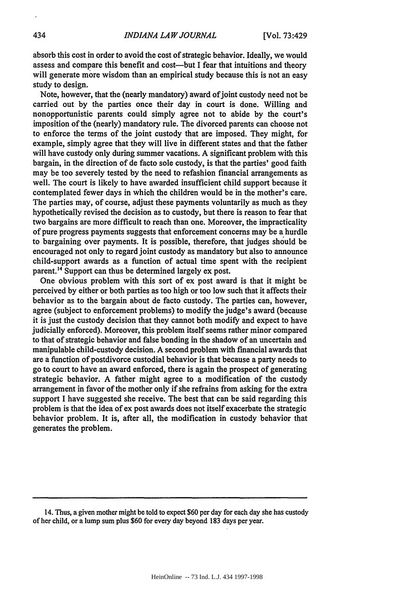absorb this cost in order to avoid the cost of strategic behavior. Ideally, we would assess and compare this benefit and cost—but I fear that intuitions and theory will generate more wisdom than an empirical study because this is not an easy study to design.

Note, however, that the (nearly mandatory) award of joint custody need not be carried out by the parties once their day in court is done. Willing and nonopportunistic parents could simply agree not to abide by the court's imposition of the (nearly) mandatory rule. The divorced parents can choose not to enforce the terms of the joint custody that are imposed. They might, for example, simply agree that they will live in different states and that the father will have custody only during summer vacations. A significant problem with this bargain, in the direction of de facto sole custody, is that the parties' good faith may be too severely tested by the need to refashion financial arrangements as well. The court is likely to have awarded insufficient child support because it contemplated fewer days in which the children would be in the mother's care. The parties may, of course, adjust these payments voluntarily as much as they hypothetically revised the decision as to custody, but there is reason to fear that two bargains are more difficult to reach than one. Moreover, the impracticality of pure progress payments suggests that enforcement concerns may be a hurdle to bargaining over payments. It is possible, therefore, that judges should be encouraged not only to regard joint custody as mandatory but also to announce child-support awards as a function of actual time spent with the recipient parent.'4 Support can thus be determined largely ex post.

One obvious problem with this sort of ex post award is that it might be perceived by either or both parties as too high or too low such that it affects their behavior as to the bargain about de facto custody. The parties can, however, agree (subject to enforcement problems) to modify the judge's award (because it is just the custody decision that they cannot both modify and expect to have judicially enforced). Moreover, this problem itself seems rather minor compared to that of strategic behavior and false bonding in the shadow of an uncertain and manipulable child-custody decision. A second problem with financial awards that are a function of postdivorce custodial behavior is that because a party needs to go to court to have an award enforced, there is again the prospect of generating strategic behavior. A father might agree to a modification of the custody arrangement in favor of the mother only if she refrains from asking for the extra support I have suggested she receive. The best that can be said regarding this problem is that the idea of ex post awards does not itself exacerbate the strategic behavior problem. It is, after all, the modification in custody behavior that generates the problem.

<sup>14.</sup> Thus, a given mother might be told to expect **\$60** per day for each day she has custody of her child, or a lump sum plus **\$60** for every day beyond **183** days per year.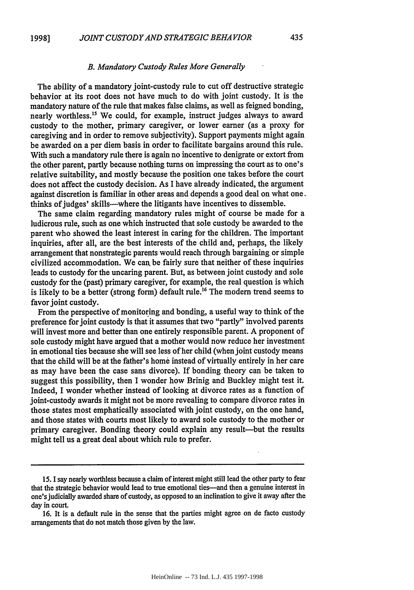#### *B. Mandatory Custody Rules More Generally*

The ability of a mandatory joint-custody rule to cut off destructive strategic behavior at its root does not have much to do with joint custody. It is the mandatory nature of the rule that makes false claims, as well as feigned bonding, nearly worthless.<sup>15</sup> We could, for example, instruct judges always to award custody to the mother, primary caregiver, or lower earner (as a proxy for caregiving and in order to remove subjectivity). Support payments might again be awarded on a per diem basis in order to facilitate bargains around this rule. With such a mandatory rule there is again no incentive to denigrate or extort from the other parent, partly because nothing turns on impressing the court as to one's relative suitability, and mostly because the position one takes before the court does not affect the custody decision. As I have already indicated, the argument against discretion is familiar in other areas and depends a good deal on what one. thinks of judges' skills-where the litigants have incentives to dissemble.

The same claim regarding mandatory rules might of course be made for a ludicrous rule, such as one which instructed that sole custody be awarded to the parent who showed the least interest in caring for the children. The important inquiries, after all, are the best interests of the child and, perhaps, the likely arrangement that nonstrategic parents would reach through bargaining or simple civilized accommodation. We can be fairly sure that neither of these inquiries leads to custody for the uncaring parent. But, as between joint custody and sole custody for the (past) primary caregiver, for example, the real question is which is likely to be a better (strong form) default rule.<sup>16</sup> The modern trend seems to favor joint custody.

From the perspective of monitoring and bonding, a useful way to think of the preference for joint custody is that it assumes that two "partly" involved parents will invest more and better than one entirely responsible parent. A proponent of sole custody might have argued that a mother would now reduce her investment in emotional ties because she will see less of her child (when joint custody means that the child will be at the father's home instead of virtually entirely in her care as may have been the case sans divorce). If bonding theory can be taken to suggest this possibility, then I wonder how Brinig and Buckley might test it. Indeed, I wonder whether instead of looking at divorce rates as a function of joint-custody awards it might not be more revealing to compare divorce rates in those states most emphatically associated with joint custody, on the one hand, and those states with courts most likely to award sole custody to the mother or primary caregiver. Bonding theory could explain any result-but the results might tell us a great deal about which rule to prefer.

*<sup>15.</sup>* I say nearly worthless because a claim of interest might still lead the other party to fear that the strategic behavior would lead to true emotional ties-and then a genuine interest in one's judicially awarded share of custody, as opposed to an inclination to give it away after the day in court.

<sup>16.</sup> It is a default rule in the sense that the parties might agree on de facto custody arrangements that do not match those given by the law.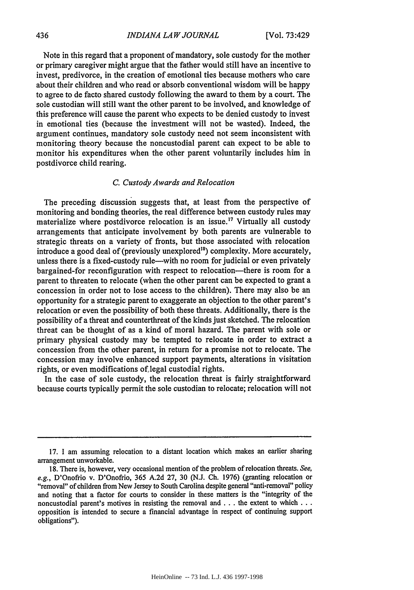Note in this regard that a proponent of mandatory, sole custody for the mother or primary caregiver might argue that the father would still have an incentive to invest, predivorce, in the creation of emotional ties because mothers who care about their children and who read or absorb conventional wisdom will be happy to agree to de facto shared custody following the award to them by a court. The sole custodian will still want the other parent to be involved, and knowledge of this preference will cause the parent who expects to be denied custody to invest in emotional ties (because the investment will not be wasted). Indeed, the argument continues, mandatory sole custody need not seem inconsistent with monitoring theory because the noncustodial parent can expect to be able to monitor his expenditures when the other parent voluntarily includes him in postdivorce child rearing.

#### *C. Custody Awards and Relocation*

The preceding discussion suggests that, at least from the perspective of monitoring and bonding theories, the real difference between custody rules may materialize where postdivorce relocation is an issue.<sup>17</sup> Virtually all custody arrangements that anticipate involvement by both parents are vulnerable to strategic threats on a variety of fronts, but those associated with relocation introduce a good deal of (previously unexplored<sup>18</sup>) complexity. More accurately, unless there is a fixed-custody rule--with no room for judicial or even privately bargained-for reconfiguration with respect to relocation-there is room for a parent to threaten to relocate (when the other parent can be expected to grant a concession in order not to lose access to the children). There may also be an opportunity for a strategic parent to exaggerate an objection to the other parent's relocation or even the possibility of both these threats. Additionally, there is the possibility of a threat and counterthreat of the kinds just sketched. The relocation threat can be thought of as a kind of moral hazard. The parent with sole or primary physical custody may be tempted to relocate in order to extract a concession from the other parent, in return for a promise not to relocate. The concession may involve enhanced support payments, alterations in visitation rights, or even modifications of legal custodial rights.

In the case of sole custody, the relocation threat is fairly straightforward because courts typically permit the sole custodian to relocate; relocation will not

<sup>17.</sup> I am assuming relocation to a distant location which makes an earlier sharing arrangement unworkable.

<sup>18.</sup> There is, however, very occasional mention of the problem of relocation threats. *See, e.g.,* D'Onofrio v. D'Onofrio, 365 A.2d 27, 30 (N.J. Ch. 1976) (granting relocation or "removal" of children from New Jersey to South Carolina despite general "anti-removal" policy and noting that a factor for courts to consider in these matters is the "integrity of the noncustodial parent's motives in resisting the removal and **...** the extent to which ... opposition is intended to secure a financial advantage in respect of continuing support obligations").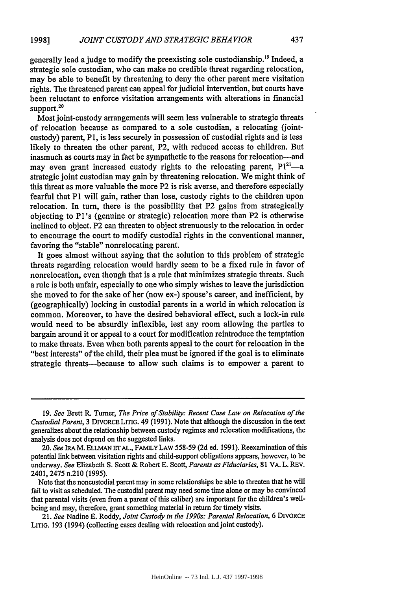generally lead ajudge to modify the preexisting sole custodianship.'9 Indeed, a strategic sole custodian, who can make no credible threat regarding relocation, may be able to benefit by threatening to deny the other parent mere visitation rights. The threatened parent can appeal for judicial intervention, but courts have been reluctant to enforce visitation arrangements with alterations in financial support.<sup>20</sup>

Most joint-custody arrangements will seem less vulnerable to strategic threats of relocation because as compared to a sole custodian, a relocating (jointcustody) parent, P1, is less securely in possession of custodial rights and is less likely to threaten the other parent, P2, with reduced access to children. But inasmuch as courts may in fact be sympathetic to the reasons for relocation-and may even grant increased custody rights to the relocating parent,  $P1^{21}$ —a strategic joint custodian may gain by threatening relocation. We might think of this threat as more valuable the more P2 is risk averse, and therefore especially fearful that P1 will gain, rather than lose, custody rights to the children upon relocation. In turn, there is the possibility that P2 gains from strategically objecting to Pl's (genuine or strategic) relocation more than P2 is otherwise inclined to object. P2 can threaten to object strenuously to the relocation in order to encourage the court to modify custodial rights in the conventional manner, favoring the "stable" nonrelocating parent.

It goes almost without saying that the solution to this problem of strategic threats regarding relocation would hardly seem to be a fixed rule in favor of nonrelocation, even though that is a rule that minimizes strategic threats. Such a rule is both unfair, especially to one who simply wishes to leave the jurisdiction she moved to for the sake of her (now ex-) spouse's career, and inefficient, by (geographically) locking in custodial parents in a world in which relocation is common. Moreover, to have the desired behavioral effect, such a lock-in rule would need to be absurdly inflexible, lest any room allowing the parties to bargain around it or appeal to a court for modification reintroduce the temptation to make threats. Even when both parents appeal to the court for relocation in the "best interests" of the child, their plea must be ignored if the goal is to eliminate strategic threats-because to allow such claims is to empower a parent to

21. *See* Nadine E. Roddy, *Joint Custody in the 1990s: Parental Relocation,* 6 DIVORCE LITG. 193 (1994) (collecting cases dealing with relocation and joint custody).

<sup>19.</sup> *See* Brett R. Turner, *The Price of Stability: Recent Case Law on Relocation of the Custodial Parent,* 3 DIVORCE **LITIG.** 49 (1991). Note that although the discussion in the text generalizes about the relationship between custody regimes and relocation modifications, the analysis does not depend on the suggested links.

<sup>20.</sup> *See* IRAM. ELLMAN **ET AL.,** FAMILY **LAW** 558-59 (2d ed. 1991). Reexamination of this potential link between visitation rights and child-support obligations appears, however, to be underway. *See* Elizabeth S. Scott & Robert E. Scott, *Parents as Fiduciaries,* 81 VA. L. REv. 2401, 2475 n.210 (1995).

Note that the noncustodial parent may in some relationships be able to threaten that he will fail to visit as scheduled. The custodial parent may need some time alone or may be convinced that parental visits (even from a parent of this caliber) are important for the children's wellbeing and may, therefore, grant something material in return for timely visits.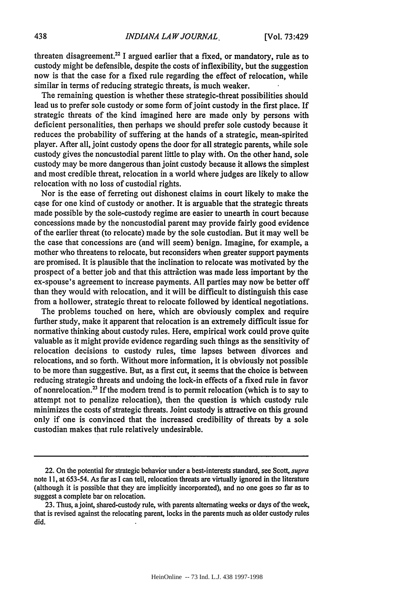threaten disagreement.<sup>22</sup> I argued earlier that a fixed, or mandatory, rule as to custody might be defensible, despite the costs of inflexibility, but the suggestion now is that the case for a fixed rule regarding the effect of relocation, while similar in terms of reducing strategic threats, is much weaker.

The remaining question is whether these strategic-threat possibilities should lead us to prefer sole custody or some form of joint custody in the first place. If strategic threats of the kind imagined here are made only by persons with deficient personalities, then perhaps we should prefer sole custody because it reduces the probability of suffering at the hands of a strategic, mean-spirited player. After all, joint custody opens the door for all strategic parents, while sole custody gives the noncustodial parent little to play with. On the other hand, sole custody may be more dangerous than joint custody because it allows the simplest and most credible threat, relocation in a world where judges are likely to allow relocation with no loss of custodial rights.

Nor is the ease of ferreting out dishonest claims in court likely to make the case for one kind of custody or another. It is arguable that the strategic threats made possible by the sole-custody regime are easier to unearth in court because concessions made by the noncustodial parent may provide fairly good evidence of the earlier threat (to relocate) made by the sole custodian. But it may well be the case that concessions are (and will seem) benign. Imagine, for example, a mother who threatens to relocate, but reconsiders when greater support payments are promised. It is plausible that the inclination to relocate was motivated by the prospect of a better job and that this attraction was made less important by the ex-spouse's agreement to increase payments. All parties may now be better off than they would with relocation, and it will be difficult to distinguish this case from a hollower, strategic threat to relocate followed by identical negotiations.

The problems touched on here, which are obviously complex and require further study, make it apparent that relocation is an extremely difficult issue for normative thinking about custody rules. Here, empirical work could prove quite valuable as it might provide evidence regarding such things as the sensitivity of relocation decisions to custody rules, time lapses between divorces and relocations, and so forth. Without more information, it is obviously not possible to be more than suggestive. But, as a first cut, it seems that the choice is between reducing strategic threats and undoing the lock-in effects of a fixed rule in favor of nonrelocation.<sup>23</sup> If the modern trend is to permit relocation (which is to say to attempt not to penalize relocation), then the question is which custody rule minimizes the costs of strategic threats. Joint custody is attractive on this ground only if one is convinced that the increased credibility of threats by a sole custodian makes that rule relatively undesirable.

<sup>22.</sup> On the potential for strategic behavior under a best-interests standard, see Scott, *supra* note 11, at 653-54. As far as I can tell, relocation threats are virtually ignored in the literature (although it is possible that they are implicitly incorporated), and no one goes so far as to suggest a complete bar on relocation.

<sup>23.</sup> Thus, a joint, shared-custody rule, with parents alternating weeks or days of the week, that is revised against the relocating parent, locks in the parents much as older custody rules did.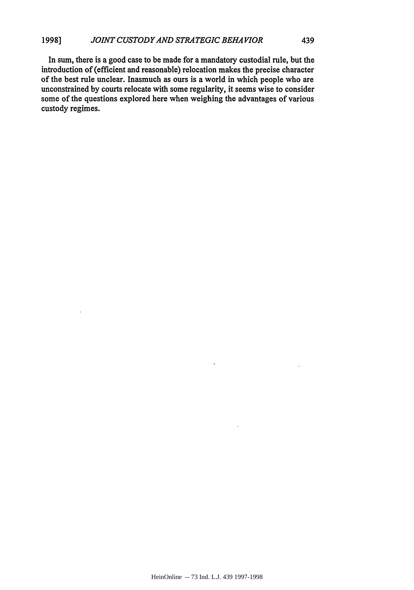In sum, there is a good case to be made for a mandatory custodial rule, but the introduction of (efficient and reasonable) relocation makes the precise character of the best rule unclear. Inasmuch as ours is a world in which people who are unconstrained **by** courts relocate with some regularity, it seems wise to consider some of the questions explored here when weighing the advantages of various custody regimes.